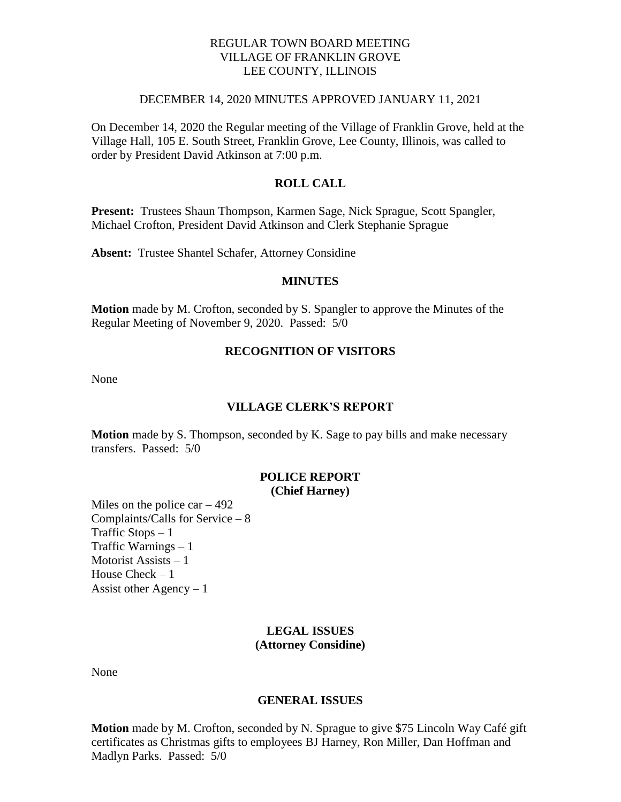## REGULAR TOWN BOARD MEETING VILLAGE OF FRANKLIN GROVE LEE COUNTY, ILLINOIS

#### DECEMBER 14, 2020 MINUTES APPROVED JANUARY 11, 2021

On December 14, 2020 the Regular meeting of the Village of Franklin Grove, held at the Village Hall, 105 E. South Street, Franklin Grove, Lee County, Illinois, was called to order by President David Atkinson at 7:00 p.m.

## **ROLL CALL**

**Present:** Trustees Shaun Thompson, Karmen Sage, Nick Sprague, Scott Spangler, Michael Crofton, President David Atkinson and Clerk Stephanie Sprague

**Absent:** Trustee Shantel Schafer, Attorney Considine

#### **MINUTES**

**Motion** made by M. Crofton, seconded by S. Spangler to approve the Minutes of the Regular Meeting of November 9, 2020. Passed: 5/0

## **RECOGNITION OF VISITORS**

None

#### **VILLAGE CLERK'S REPORT**

**Motion** made by S. Thompson, seconded by K. Sage to pay bills and make necessary transfers. Passed: 5/0

# **POLICE REPORT**

**(Chief Harney)**

Miles on the police car  $-492$ Complaints/Calls for Service – 8 Traffic Stops – 1 Traffic Warnings – 1 Motorist Assists – 1 House Check – 1 Assist other Agency  $-1$ 

#### **LEGAL ISSUES (Attorney Considine)**

None

#### **GENERAL ISSUES**

**Motion** made by M. Crofton, seconded by N. Sprague to give \$75 Lincoln Way Café gift certificates as Christmas gifts to employees BJ Harney, Ron Miller, Dan Hoffman and Madlyn Parks. Passed: 5/0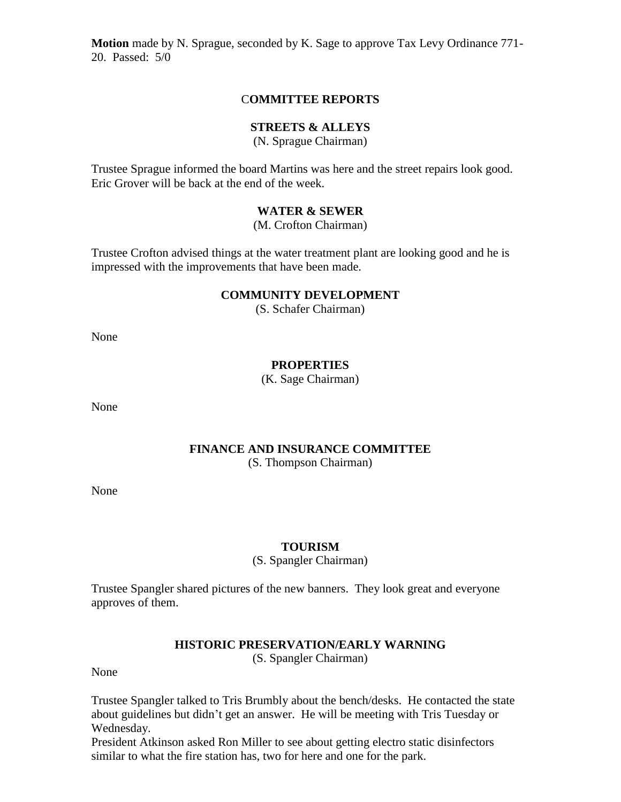**Motion** made by N. Sprague, seconded by K. Sage to approve Tax Levy Ordinance 771- 20. Passed: 5/0

## C**OMMITTEE REPORTS**

## **STREETS & ALLEYS**

(N. Sprague Chairman)

Trustee Sprague informed the board Martins was here and the street repairs look good. Eric Grover will be back at the end of the week.

## **WATER & SEWER**

(M. Crofton Chairman)

Trustee Crofton advised things at the water treatment plant are looking good and he is impressed with the improvements that have been made.

## **COMMUNITY DEVELOPMENT**

(S. Schafer Chairman)

None

## **PROPERTIES**

(K. Sage Chairman)

None

## **FINANCE AND INSURANCE COMMITTEE** (S. Thompson Chairman)

None

## **TOURISM**

(S. Spangler Chairman)

Trustee Spangler shared pictures of the new banners. They look great and everyone approves of them.

#### **HISTORIC PRESERVATION/EARLY WARNING**

(S. Spangler Chairman)

None

Trustee Spangler talked to Tris Brumbly about the bench/desks. He contacted the state about guidelines but didn't get an answer. He will be meeting with Tris Tuesday or Wednesday.

President Atkinson asked Ron Miller to see about getting electro static disinfectors similar to what the fire station has, two for here and one for the park.